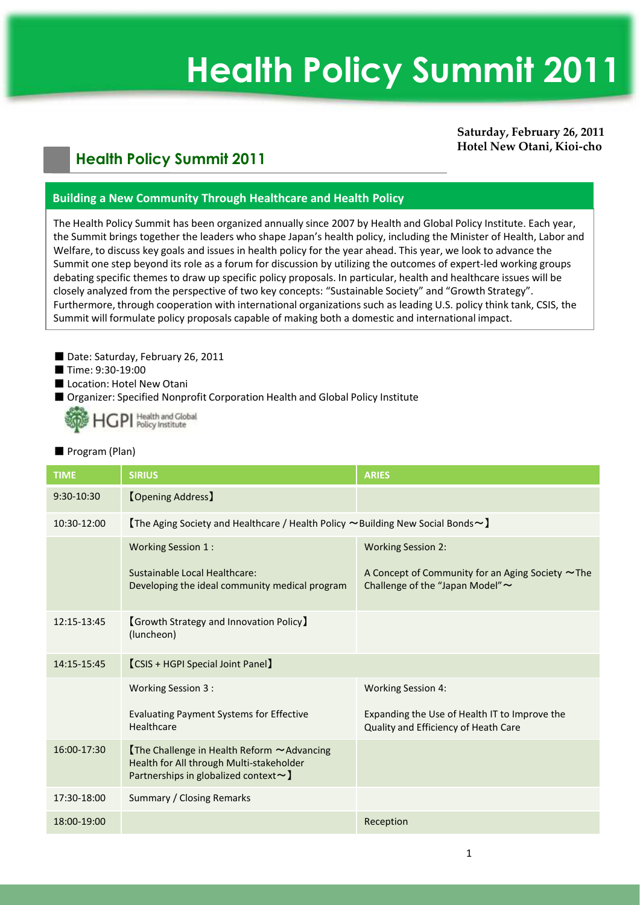# **Health Policy Summit 2011**

# **Saturday, February 26, 2011 Hotel New Otani, Kioi-cho**

# **Health Policy Summit 2011**

# **Building a New Community Through Healthcare and Health Policy**

The Health Policy Summit has been organized annually since 2007 by Health and Global Policy Institute. Each year, the Summit brings together the leaders who shape Japan's health policy, including the Minister of Health, Labor and Welfare, to discuss key goals and issues in health policy for the year ahead. This year, we look to advance the Summit one step beyond its role as a forum for discussion by utilizing the outcomes of expert-led working groups debating specific themes to draw up specific policy proposals. In particular, health and healthcare issues will be closely analyzed from the perspective of two key concepts: "Sustainable Society" and "Growth Strategy". Furthermore, through cooperation with international organizations such as leading U.S. policy think tank, CSIS, the Summit will formulate policy proposals capable of making both a domestic and international impact.

- Date: Saturday, February 26, 2011
- Time: 9:30-19:00
- Location: Hotel New Otani
- Organizer: Specified Nonprofit Corporation Health and Global Policy Institute



#### ■ Program (Plan)

| <b>TIME</b> | <b>SIRIUS</b>                                                                                                                                  | <b>ARIES</b>                                                                               |
|-------------|------------------------------------------------------------------------------------------------------------------------------------------------|--------------------------------------------------------------------------------------------|
| 9:30-10:30  | <b>[Opening Address]</b>                                                                                                                       |                                                                                            |
| 10:30-12:00 | <b>[The Aging Society and Healthcare / Health Policy <math>\sim</math> Building New Social Bonds <math>\sim</math> ]</b>                       |                                                                                            |
|             | <b>Working Session 1:</b>                                                                                                                      | <b>Working Session 2:</b>                                                                  |
|             | Sustainable Local Healthcare:<br>Developing the ideal community medical program                                                                | A Concept of Community for an Aging Society $\sim$ The<br>Challenge of the "Japan Model" ~ |
| 12:15-13:45 | <b>[Growth Strategy and Innovation Policy]</b><br>(luncheon)                                                                                   |                                                                                            |
| 14:15-15:45 | <b>[CSIS + HGPI Special Joint Panel]</b>                                                                                                       |                                                                                            |
|             | Working Session 3:                                                                                                                             | <b>Working Session 4:</b>                                                                  |
|             | <b>Evaluating Payment Systems for Effective</b><br>Healthcare                                                                                  | Expanding the Use of Health IT to Improve the<br>Quality and Efficiency of Heath Care      |
| 16:00-17:30 | $[$ The Challenge in Health Reform $\sim$ Advancing<br>Health for All through Multi-stakeholder<br>Partnerships in globalized context $\sim$ ) |                                                                                            |
| 17:30-18:00 | Summary / Closing Remarks                                                                                                                      |                                                                                            |
| 18:00-19:00 |                                                                                                                                                | Reception                                                                                  |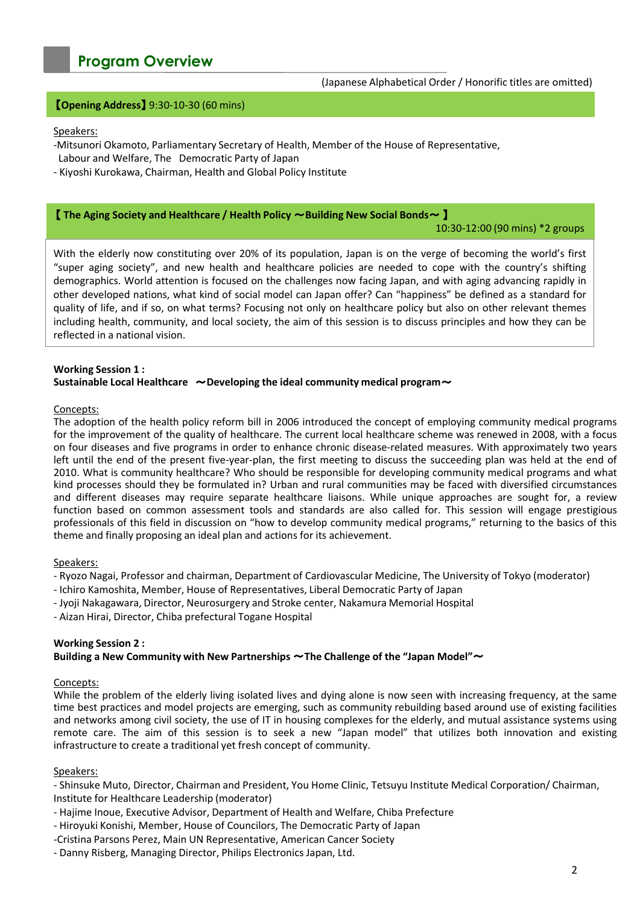# **Program Overview**

#### (Japanese Alphabetical Order / Honorific titles are omitted)

## 【**Opening Address**】 9:30-10-30 (60 mins)

#### Speakers:

- -Mitsunori Okamoto, Parliamentary Secretary of Health, Member of the House of Representative, Labour and Welfare, The Democratic Party of Japan
- Kiyoshi Kurokawa, Chairman, Health and Global Policy Institute

#### 【 **The Aging Society and Healthcare / Health Policy** ~**Building New Social Bonds**~ 】

#### 10:30-12:00 (90 mins) \*2 groups

With the elderly now constituting over 20% of its population, Japan is on the verge of becoming the world's first "super aging society", and new health and healthcare policies are needed to cope with the country's shifting demographics. World attention is focused on the challenges now facing Japan, and with aging advancing rapidly in other developed nations, what kind of social model can Japan offer? Can "happiness" be defined as a standard for quality of life, and if so, on what terms? Focusing not only on healthcare policy but also on other relevant themes including health, community, and local society, the aim of this session is to discuss principles and how they can be reflected in a national vision.

#### **Working Session 1 : Sustainable Local Healthcare** ~**Developing the ideal community medical program**~

#### Concepts:

The adoption of the health policy reform bill in 2006 introduced the concept of employing community medical programs for the improvement of the quality of healthcare. The current local healthcare scheme was renewed in 2008, with a focus on four diseases and five programs in order to enhance chronic disease-related measures. With approximately two years left until the end of the present five-year-plan, the first meeting to discuss the succeeding plan was held at the end of 2010. What is community healthcare? Who should be responsible for developing community medical programs and what kind processes should they be formulated in? Urban and rural communities may be faced with diversified circumstances and different diseases may require separate healthcare liaisons. While unique approaches are sought for, a review function based on common assessment tools and standards are also called for. This session will engage prestigious professionals of this field in discussion on "how to develop community medical programs," returning to the basics of this theme and finally proposing an ideal plan and actions for its achievement.

#### Speakers:

- Ryozo Nagai, Professor and chairman, Department of Cardiovascular Medicine, The University of Tokyo (moderator)
- Ichiro Kamoshita, Member, House of Representatives, Liberal Democratic Party of Japan
- Jyoji Nakagawara, Director, Neurosurgery and Stroke center, Nakamura Memorial Hospital
- Aizan Hirai, Director, Chiba prefectural Togane Hospital

#### **Working Session 2 :**

# **Building a New Community with New Partnerships** ~**The Challenge of the "Japan Model"**~

#### Concepts:

While the problem of the elderly living isolated lives and dying alone is now seen with increasing frequency, at the same time best practices and model projects are emerging, such as community rebuilding based around use of existing facilities and networks among civil society, the use of IT in housing complexes for the elderly, and mutual assistance systems using remote care. The aim of this session is to seek a new "Japan model" that utilizes both innovation and existing infrastructure to create a traditional yet fresh concept of community.

#### Speakers:

- Shinsuke Muto, Director, Chairman and President, You Home Clinic, Tetsuyu Institute Medical Corporation/ Chairman, Institute for Healthcare Leadership (moderator)

- Hajime Inoue, Executive Advisor, Department of Health and Welfare, Chiba Prefecture
- Hiroyuki Konishi, Member, House of Councilors, The Democratic Party of Japan
- -Cristina Parsons Perez, Main UN Representative, American Cancer Society
- Danny Risberg, Managing Director, Philips Electronics Japan, Ltd.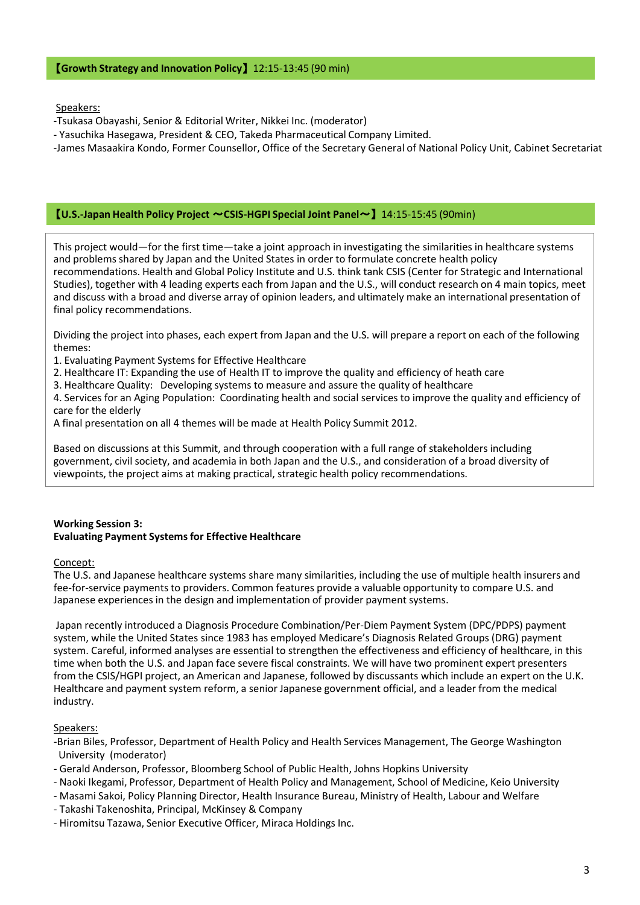# 【**Growth Strategy and Innovation Policy**】 12:15-13:45 (90 min)

Speakers:

- -Tsukasa Obayashi, Senior & Editorial Writer, Nikkei Inc. (moderator)
- Yasuchika Hasegawa, President & CEO, Takeda Pharmaceutical Company Limited.

-James Masaakira Kondo, Former Counsellor, Office of the Secretary General of National Policy Unit, Cabinet Secretariat

#### 【**U.S.-Japan Health Policy Project** ~**CSIS-HGPI Special Joint Panel**~】 14:15-15:45 (90min)

This project would—for the first time—take a joint approach in investigating the similarities in healthcare systems and problems shared by Japan and the United States in order to formulate concrete health policy recommendations. Health and Global Policy Institute and U.S. think tank CSIS (Center for Strategic and International Studies), together with 4 leading experts each from Japan and the U.S., will conduct research on 4 main topics, meet and discuss with a broad and diverse array of opinion leaders, and ultimately make an international presentation of final policy recommendations.

Dividing the project into phases, each expert from Japan and the U.S. will prepare a report on each of the following themes:

- 1. Evaluating Payment Systems for Effective Healthcare
- 2. Healthcare IT: Expanding the use of Health IT to improve the quality and efficiency of heath care
- 3. Healthcare Quality: Developing systems to measure and assure the quality of healthcare

4. Services for an Aging Population: Coordinating health and social services to improve the quality and efficiency of care for the elderly

A final presentation on all 4 themes will be made at Health Policy Summit 2012.

Based on discussions at this Summit, and through cooperation with a full range of stakeholders including government, civil society, and academia in both Japan and the U.S., and consideration of a broad diversity of viewpoints, the project aims at making practical, strategic health policy recommendations.

# **Working Session 3: Evaluating Payment Systems for Effective Healthcare**

Concept:

The U.S. and Japanese healthcare systems share many similarities, including the use of multiple health insurers and fee-for-service payments to providers. Common features provide a valuable opportunity to compare U.S. and Japanese experiences in the design and implementation of provider payment systems.

Japan recently introduced a Diagnosis Procedure Combination/Per-Diem Payment System (DPC/PDPS) payment system, while the United States since 1983 has employed Medicare's Diagnosis Related Groups (DRG) payment system. Careful, informed analyses are essential to strengthen the effectiveness and efficiency of healthcare, in this time when both the U.S. and Japan face severe fiscal constraints. We will have two prominent expert presenters from the CSIS/HGPI project, an American and Japanese, followed by discussants which include an expert on the U.K. Healthcare and payment system reform, a senior Japanese government official, and a leader from the medical industry.

# Speakers:

- -Brian Biles, Professor, Department of Health Policy and Health Services Management, The George Washington University (moderator)
- Gerald Anderson, Professor, Bloomberg School of Public Health, Johns Hopkins University
- Naoki Ikegami, Professor, Department of Health Policy and Management, School of Medicine, Keio University
- Masami Sakoi, Policy Planning Director, Health Insurance Bureau, Ministry of Health, Labour and Welfare
- Takashi Takenoshita, Principal, McKinsey & Company
- Hiromitsu Tazawa, Senior Executive Officer, Miraca Holdings Inc.